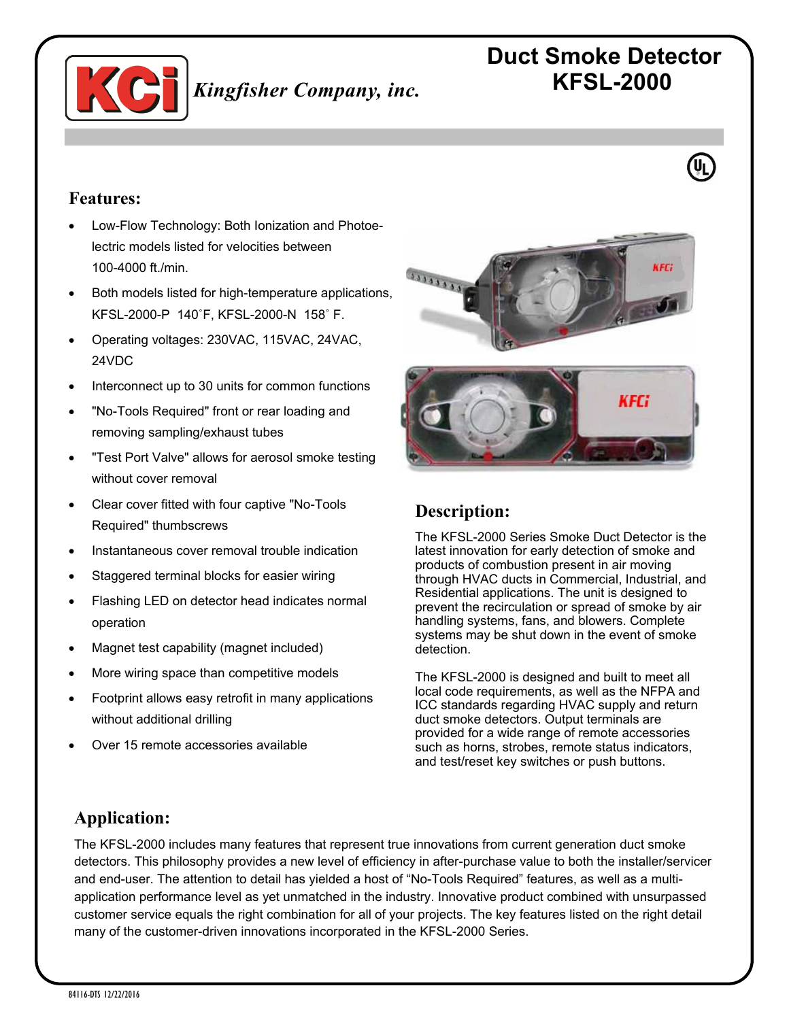

# **Duct Smoke Detector KFSL-2000**

### **Features:**

- Low-Flow Technology: Both Ionization and Photoelectric models listed for velocities between 100-4000 ft./min.
- Both models listed for high-temperature applications, KFSL-2000-P 140˚F, KFSL-2000-N 158˚ F.
- Operating voltages: 230VAC, 115VAC, 24VAC, 24VDC
- Interconnect up to 30 units for common functions
- "No-Tools Required" front or rear loading and removing sampling/exhaust tubes
- "Test Port Valve" allows for aerosol smoke testing without cover removal
- Clear cover fitted with four captive "No-Tools Required" thumbscrews
- Instantaneous cover removal trouble indication
- Staggered terminal blocks for easier wiring
- Flashing LED on detector head indicates normal operation
- Magnet test capability (magnet included)
- More wiring space than competitive models
- Footprint allows easy retrofit in many applications without additional drilling
- Over 15 remote accessories available





# **Description:**

The KFSL-2000 Series Smoke Duct Detector is the latest innovation for early detection of smoke and products of combustion present in air moving through HVAC ducts in Commercial, Industrial, and Residential applications. The unit is designed to prevent the recirculation or spread of smoke by air handling systems, fans, and blowers. Complete systems may be shut down in the event of smoke detection.

The KFSL-2000 is designed and built to meet all local code requirements, as well as the NFPA and ICC standards regarding HVAC supply and return duct smoke detectors. Output terminals are provided for a wide range of remote accessories such as horns, strobes, remote status indicators, and test/reset key switches or push buttons.

# **Application:**

The KFSL-2000 includes many features that represent true innovations from current generation duct smoke detectors. This philosophy provides a new level of efficiency in after-purchase value to both the installer/servicer and end-user. The attention to detail has yielded a host of "No-Tools Required" features, as well as a multiapplication performance level as yet unmatched in the industry. Innovative product combined with unsurpassed customer service equals the right combination for all of your projects. The key features listed on the right detail many of the customer-driven innovations incorporated in the KFSL-2000 Series.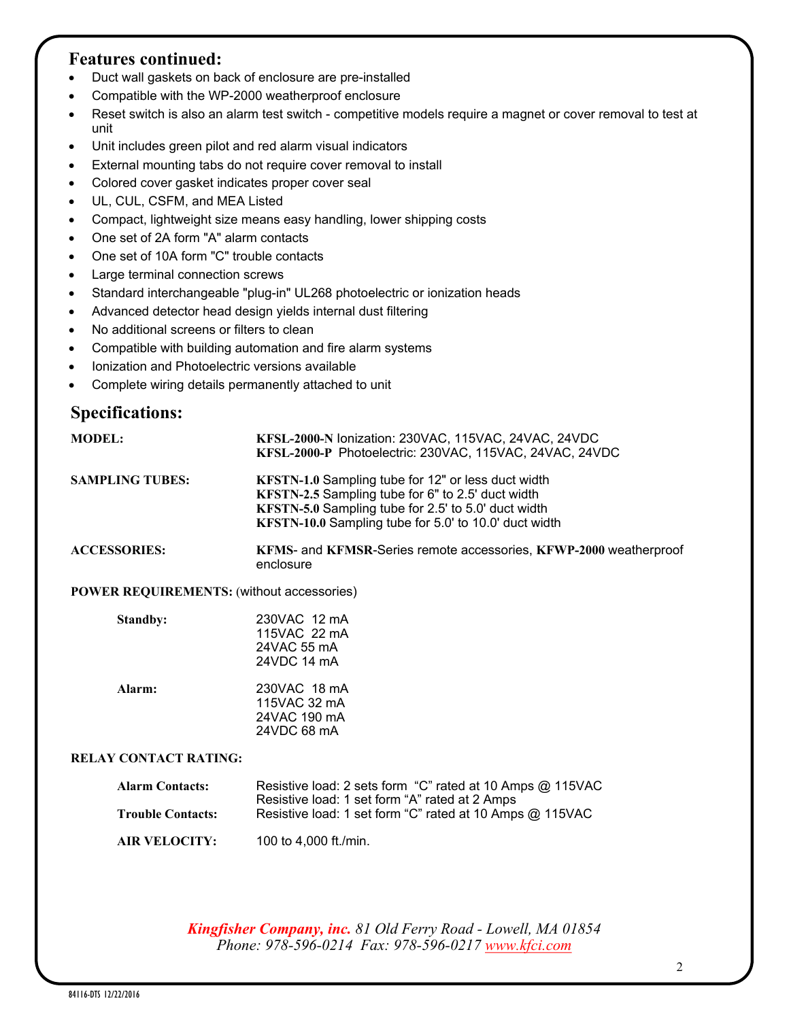### **Features continued:**

- Duct wall gaskets on back of enclosure are pre-installed
- Compatible with the WP-2000 weatherproof enclosure
- Reset switch is also an alarm test switch competitive models require a magnet or cover removal to test at unit
- Unit includes green pilot and red alarm visual indicators
- External mounting tabs do not require cover removal to install
- Colored cover gasket indicates proper cover seal
- UL, CUL, CSFM, and MEA Listed
- Compact, lightweight size means easy handling, lower shipping costs
- One set of 2A form "A" alarm contacts
- One set of 10A form "C" trouble contacts
- Large terminal connection screws
- Standard interchangeable "plug-in" UL268 photoelectric or ionization heads
- Advanced detector head design yields internal dust filtering
- No additional screens or filters to clean
- Compatible with building automation and fire alarm systems
- Ionization and Photoelectric versions available
- Complete wiring details permanently attached to unit

# **Specifications:**

| <b>MODEL:</b>                                    | KFSL-2000-N Ionization: 230VAC, 115VAC, 24VAC, 24VDC<br>KFSL-2000-P Photoelectric: 230VAC, 115VAC, 24VAC, 24VDC                                                                                                         |  |
|--------------------------------------------------|-------------------------------------------------------------------------------------------------------------------------------------------------------------------------------------------------------------------------|--|
| <b>SAMPLING TUBES:</b>                           | KFSTN-1.0 Sampling tube for 12" or less duct width<br>KFSTN-2.5 Sampling tube for 6" to 2.5' duct width<br>KFSTN-5.0 Sampling tube for 2.5' to 5.0' duct width<br>KFSTN-10.0 Sampling tube for 5.0' to 10.0' duct width |  |
| <b>ACCESSORIES:</b>                              | KFMS- and KFMSR-Series remote accessories, KFWP-2000 weatherproof<br>enclosure                                                                                                                                          |  |
| <b>POWER REQUIREMENTS:</b> (without accessories) |                                                                                                                                                                                                                         |  |

#### **POWER REQUIREMENTS:** (without accessories)

| <b>Standby:</b> | 230VAC 12 mA<br>115VAC 22 mA<br>24 VAC 55 mA<br>24VDC 14 mA |
|-----------------|-------------------------------------------------------------|
| Alarm:          | 230VAC 18 mA<br>115VAC 32 mA<br>24VAC 190 mA<br>24VDC 68 mA |

#### **RELAY CONTACT RATING:**

| <b>Alarm Contacts:</b><br><b>Trouble Contacts:</b> | Resistive load: 2 sets form "C" rated at 10 Amps @ 115VAC<br>Resistive load: 1 set form "A" rated at 2 Amps<br>Resistive load: 1 set form "C" rated at 10 Amps @ 115VAC |
|----------------------------------------------------|-------------------------------------------------------------------------------------------------------------------------------------------------------------------------|
| <b>AIR VELOCITY:</b>                               | 100 to 4,000 ft./min.                                                                                                                                                   |

*Kingfisher Company, inc. 81 Old Ferry Road - Lowell, MA 01854 Phone: 978-596-0214 Fax: 978-596-0217 [www.kfci.com](http://www.kfci.com/)*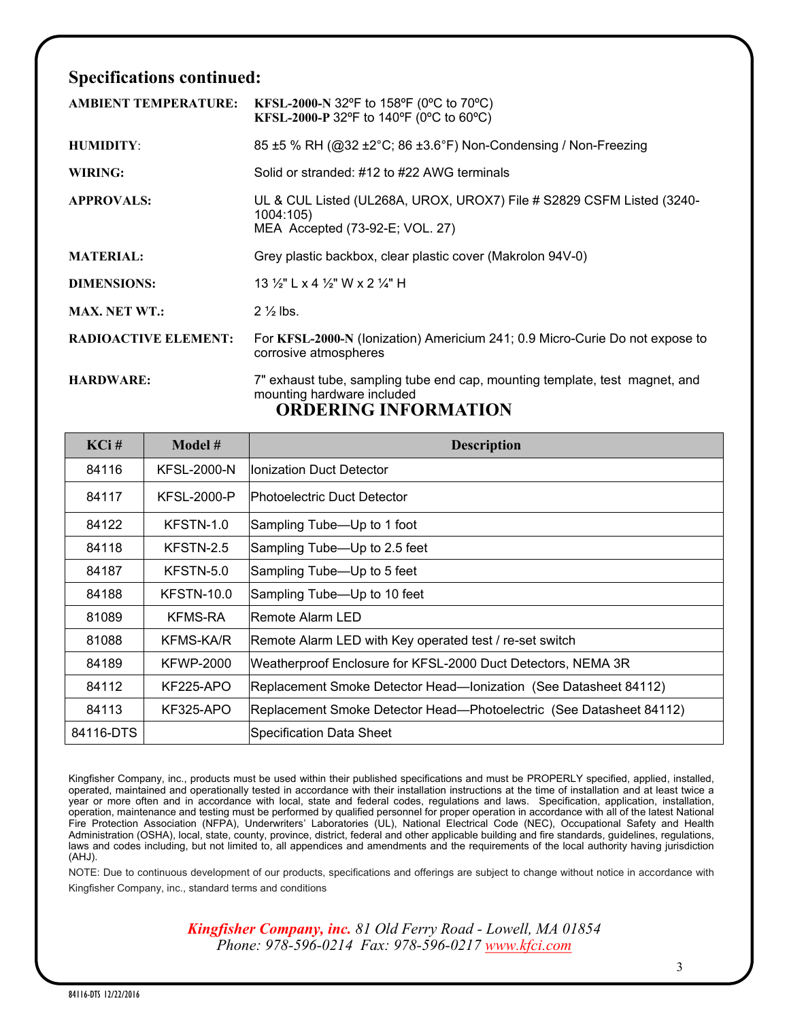# **Specifications continued:**

| <b>AMBIENT TEMPERATURE:</b> | KFSL-2000-N 32°F to 158°F (0°C to 70°C)<br>KFSL-2000-P 32°F to 140°F (0°C to 60°C)                                                       |
|-----------------------------|------------------------------------------------------------------------------------------------------------------------------------------|
| <b>HUMIDITY:</b>            | 85 ±5 % RH (@32 ±2°C; 86 ±3.6°F) Non-Condensing / Non-Freezing                                                                           |
| WIRING:                     | Solid or stranded: #12 to #22 AWG terminals                                                                                              |
| <b>APPROVALS:</b>           | UL & CUL Listed (UL268A, UROX, UROX7) File # S2829 CSFM Listed (3240-<br>1004:105)<br>MEA Accepted (73-92-E; VOL. 27)                    |
| <b>MATERIAL:</b>            | Grey plastic backbox, clear plastic cover (Makrolon 94V-0)                                                                               |
| <b>DIMENSIONS:</b>          | 13 $\frac{1}{2}$ L x 4 $\frac{1}{2}$ W x 2 $\frac{1}{4}$ H                                                                               |
| <b>MAX. NET WT.:</b>        | $2\frac{1}{2}$ lbs.                                                                                                                      |
| <b>RADIOACTIVE ELEMENT:</b> | For KFSL-2000-N (Ionization) Americium 241; 0.9 Micro-Curie Do not expose to<br>corrosive atmospheres                                    |
| <b>HARDWARE:</b>            | 7" exhaust tube, sampling tube end cap, mounting template, test magnet, and<br>mounting hardware included<br><b>ORDERING INFORMATION</b> |

| $KCi$ #   | Model #            | <b>Description</b>                                                  |
|-----------|--------------------|---------------------------------------------------------------------|
| 84116     | <b>KFSL-2000-N</b> | llonization Duct Detector                                           |
| 84117     | <b>KFSL-2000-P</b> | IPhotoelectric Duct Detector                                        |
| 84122     | KFSTN-1.0          | Sampling Tube—Up to 1 foot                                          |
| 84118     | KFSTN-2.5          | Sampling Tube—Up to 2.5 feet                                        |
| 84187     | KFSTN-5.0          | Sampling Tube—Up to 5 feet                                          |
| 84188     | <b>KFSTN-10.0</b>  | Sampling Tube—Up to 10 feet                                         |
| 81089     | KFMS-RA            | lRemote Alarm LED                                                   |
| 81088     | KFMS-KA/R          | Remote Alarm LED with Key operated test / re-set switch             |
| 84189     | KFWP-2000          | Weatherproof Enclosure for KFSL-2000 Duct Detectors, NEMA 3R        |
| 84112     | <b>KF225-APO</b>   | Replacement Smoke Detector Head—Ionization (See Datasheet 84112)    |
| 84113     | KF325-APO          | Replacement Smoke Detector Head—Photoelectric (See Datasheet 84112) |
| 84116-DTS |                    | Specification Data Sheet                                            |

Kingfisher Company, inc., products must be used within their published specifications and must be PROPERLY specified, applied, installed, operated, maintained and operationally tested in accordance with their installation instructions at the time of installation and at least twice a year or more often and in accordance with local, state and federal codes, regulations and laws. Specification, application, installation, operation, maintenance and testing must be performed by qualified personnel for proper operation in accordance with all of the latest National Fire Protection Association (NFPA), Underwriters' Laboratories (UL), National Electrical Code (NEC), Occupational Safety and Health Administration (OSHA), local, state, county, province, district, federal and other applicable building and fire standards, guidelines, regulations, laws and codes including, but not limited to, all appendices and amendments and the requirements of the local authority having jurisdiction (AHJ).

NOTE: Due to continuous development of our products, specifications and offerings are subject to change without notice in accordance with Kingfisher Company, inc., standard terms and conditions

> *Kingfisher Company, inc. 81 Old Ferry Road - Lowell, MA 01854 Phone: 978-596-0214 Fax: 978-596-0217 [www.kfci.com](http://www.kfci.com/)*